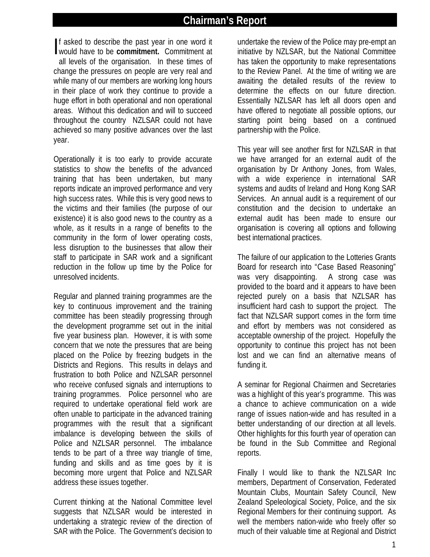# **Chairman's Report**

If asked to describe the past year in one word it<br>would have to be **commitment**. Commitment at would have to be **commitment.** Commitment at all levels of the organisation. In these times of change the pressures on people are very real and while many of our members are working long hours in their place of work they continue to provide a huge effort in both operational and non operational areas. Without this dedication and will to succeed throughout the country NZLSAR could not have achieved so many positive advances over the last year.

Operationally it is too early to provide accurate statistics to show the benefits of the advanced training that has been undertaken, but many reports indicate an improved performance and very high success rates. While this is very good news to the victims and their families (the purpose of our existence) it is also good news to the country as a whole, as it results in a range of benefits to the community in the form of lower operating costs, less disruption to the businesses that allow their staff to participate in SAR work and a significant reduction in the follow up time by the Police for unresolved incidents.

Regular and planned training programmes are the key to continuous improvement and the training committee has been steadily progressing through the development programme set out in the initial five year business plan. However, it is with some concern that we note the pressures that are being placed on the Police by freezing budgets in the Districts and Regions. This results in delays and frustration to both Police and NZLSAR personnel who receive confused signals and interruptions to training programmes. Police personnel who are required to undertake operational field work are often unable to participate in the advanced training programmes with the result that a significant imbalance is developing between the skills of Police and NZLSAR personnel. The imbalance tends to be part of a three way triangle of time, funding and skills and as time goes by it is becoming more urgent that Police and NZLSAR address these issues together.

Current thinking at the National Committee level suggests that NZLSAR would be interested in undertaking a strategic review of the direction of SAR with the Police. The Government's decision to

undertake the review of the Police may pre-empt an initiative by NZLSAR, but the National Committee has taken the opportunity to make representations to the Review Panel. At the time of writing we are awaiting the detailed results of the review to determine the effects on our future direction. Essentially NZLSAR has left all doors open and have offered to negotiate all possible options, our starting point being based on a continued partnership with the Police.

This year will see another first for NZLSAR in that we have arranged for an external audit of the organisation by Dr Anthony Jones, from Wales, with a wide experience in international SAR systems and audits of Ireland and Hong Kong SAR Services. An annual audit is a requirement of our constitution and the decision to undertake an external audit has been made to ensure our organisation is covering all options and following best international practices.

The failure of our application to the Lotteries Grants Board for research into "Case Based Reasoning" was very disappointing. A strong case was provided to the board and it appears to have been rejected purely on a basis that NZLSAR has insufficient hard cash to support the project. The fact that NZLSAR support comes in the form time and effort by members was not considered as acceptable ownership of the project. Hopefully the opportunity to continue this project has not been lost and we can find an alternative means of funding it.

A seminar for Regional Chairmen and Secretaries was a highlight of this year's programme. This was a chance to achieve communication on a wide range of issues nation-wide and has resulted in a better understanding of our direction at all levels. Other highlights for this fourth year of operation can be found in the Sub Committee and Regional reports.

Finally I would like to thank the NZLSAR Inc members, Department of Conservation, Federated Mountain Clubs, Mountain Safety Council, New Zealand Speleological Society, Police, and the six Regional Members for their continuing support. As well the members nation-wide who freely offer so much of their valuable time at Regional and District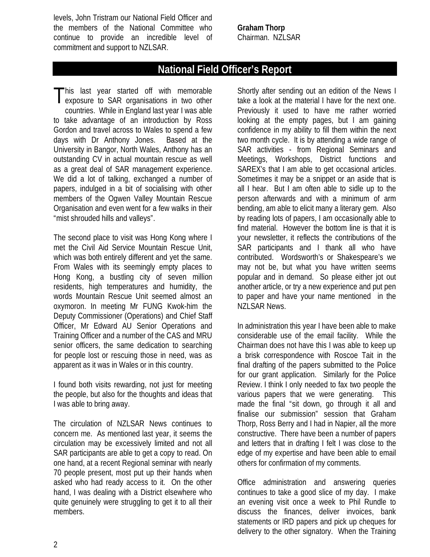levels, John Tristram our National Field Officer and the members of the National Committee who continue to provide an incredible level of commitment and support to NZLSAR.

**Graham Thorp** Chairman. NZLSAR

# **National Field Officer's Report**

his last year started off with memorable This last year started off with memorable<br>
exposure to SAR organisations in two other countries. While in England last year I was able to take advantage of an introduction by Ross Gordon and travel across to Wales to spend a few days with Dr Anthony Jones. Based at the University in Bangor, North Wales, Anthony has an outstanding CV in actual mountain rescue as well as a great deal of SAR management experience. We did a lot of talking, exchanged a number of papers, indulged in a bit of socialising with other members of the Ogwen Valley Mountain Rescue Organisation and even went for a few walks in their "mist shrouded hills and valleys".

The second place to visit was Hong Kong where I met the Civil Aid Service Mountain Rescue Unit, which was both entirely different and yet the same. From Wales with its seemingly empty places to Hong Kong, a bustling city of seven million residents, high temperatures and humidity, the words Mountain Rescue Unit seemed almost an oxymoron. In meeting Mr FUNG Kwok-him the Deputy Commissioner (Operations) and Chief Staff Officer, Mr Edward AU Senior Operations and Training Officer and a number of the CAS and MRU senior officers, the same dedication to searching for people lost or rescuing those in need, was as apparent as it was in Wales or in this country.

I found both visits rewarding, not just for meeting the people, but also for the thoughts and ideas that I was able to bring away.

The circulation of NZLSAR News continues to concern me. As mentioned last year, it seems the circulation may be excessively limited and not all SAR participants are able to get a copy to read. On one hand, at a recent Regional seminar with nearly 70 people present, most put up their hands when asked who had ready access to it. On the other hand, I was dealing with a District elsewhere who quite genuinely were struggling to get it to all their members.

Shortly after sending out an edition of the News I take a look at the material I have for the next one. Previously it used to have me rather worried looking at the empty pages, but I am gaining confidence in my ability to fill them within the next two month cycle. It is by attending a wide range of SAR activities - from Regional Seminars and Meetings, Workshops, District functions and SAREX's that I am able to get occasional articles. Sometimes it may be a snippet or an aside that is all I hear. But I am often able to sidle up to the person afterwards and with a minimum of arm bending, am able to elicit many a literary gem. Also by reading lots of papers, I am occasionally able to find material. However the bottom line is that it is your newsletter, it reflects the contributions of the SAR participants and I thank all who have contributed. Wordsworth's or Shakespeare's we may not be, but what you have written seems popular and in demand. So please either jot out another article, or try a new experience and put pen to paper and have your name mentioned in the NZLSAR News.

In administration this year I have been able to make considerable use of the email facility. While the Chairman does not have this I was able to keep up a brisk correspondence with Roscoe Tait in the final drafting of the papers submitted to the Police for our grant application. Similarly for the Police Review. I think I only needed to fax two people the various papers that we were generating. This made the final "sit down, go through it all and finalise our submission" session that Graham Thorp, Ross Berry and I had in Napier, all the more constructive. There have been a number of papers and letters that in drafting I felt I was close to the edge of my expertise and have been able to email others for confirmation of my comments.

Office administration and answering queries continues to take a good slice of my day. I make an evening visit once a week to Phil Rundle to discuss the finances, deliver invoices, bank statements or IRD papers and pick up cheques for delivery to the other signatory. When the Training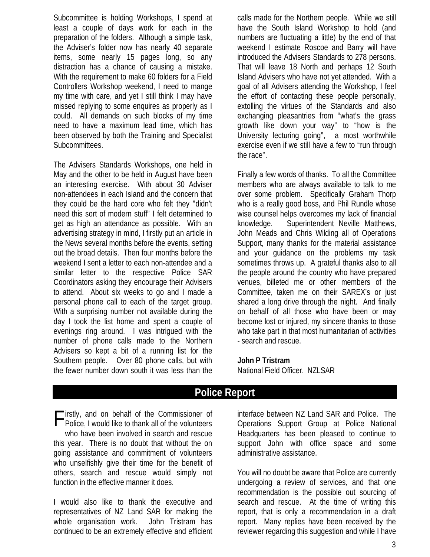Subcommittee is holding Workshops, I spend at least a couple of days work for each in the preparation of the folders. Although a simple task, the Adviser's folder now has nearly 40 separate items, some nearly 15 pages long, so any distraction has a chance of causing a mistake. With the requirement to make 60 folders for a Field Controllers Workshop weekend, I need to mange my time with care, and yet I still think I may have missed replying to some enquires as properly as I could. All demands on such blocks of my time need to have a maximum lead time, which has been observed by both the Training and Specialist Subcommittees.

The Advisers Standards Workshops, one held in May and the other to be held in August have been an interesting exercise. With about 30 Adviser non-attendees in each Island and the concern that they could be the hard core who felt they "didn't need this sort of modern stuff" I felt determined to get as high an attendance as possible. With an advertising strategy in mind, I firstly put an article in the News several months before the events, setting out the broad details. Then four months before the weekend I sent a letter to each non-attendee and a similar letter to the respective Police SAR Coordinators asking they encourage their Advisers to attend. About six weeks to go and I made a personal phone call to each of the target group. With a surprising number not available during the day I took the list home and spent a couple of evenings ring around. I was intrigued with the number of phone calls made to the Northern Advisers so kept a bit of a running list for the Southern people. Over 80 phone calls, but with the fewer number down south it was less than the calls made for the Northern people. While we still have the South Island Workshop to hold (and numbers are fluctuating a little) by the end of that weekend I estimate Roscoe and Barry will have introduced the Advisers Standards to 278 persons. That will leave 18 North and perhaps 12 South Island Advisers who have not yet attended. With a goal of all Advisers attending the Workshop, I feel the effort of contacting these people personally, extolling the virtues of the Standards and also exchanging pleasantries from "what's the grass growth like down your way" to "how is the University lecturing going", a most worthwhile exercise even if we still have a few to "run through the race".

Finally a few words of thanks. To all the Committee members who are always available to talk to me over some problem. Specifically Graham Thorp who is a really good boss, and Phil Rundle whose wise counsel helps overcomes my lack of financial knowledge. Superintendent Neville Matthews, John Meads and Chris Wilding all of Operations Support, many thanks for the material assistance and your guidance on the problems my task sometimes throws up. A grateful thanks also to all the people around the country who have prepared venues, billeted me or other members of the Committee, taken me on their SAREX's or just shared a long drive through the night. And finally on behalf of all those who have been or may become lost or injured, my sincere thanks to those who take part in that most humanitarian of activities - search and rescue.

## **John P Tristram**

National Field Officer. NZLSAR

## **Police Report**

Firstly, and on behalf of the Commissioner of<br>Police, I would like to thank all of the volunteers **Police, I would like to thank all of the volunteers** who have been involved in search and rescue this year. There is no doubt that without the on going assistance and commitment of volunteers who unselfishly give their time for the benefit of others, search and rescue would simply not function in the effective manner it does.

I would also like to thank the executive and representatives of NZ Land SAR for making the whole organisation work. John Tristram has continued to be an extremely effective and efficient

interface between NZ Land SAR and Police. The Operations Support Group at Police National Headquarters has been pleased to continue to support John with office space and some administrative assistance.

You will no doubt be aware that Police are currently undergoing a review of services, and that one recommendation is the possible out sourcing of search and rescue. At the time of writing this report, that is only a recommendation in a draft report. Many replies have been received by the reviewer regarding this suggestion and while I have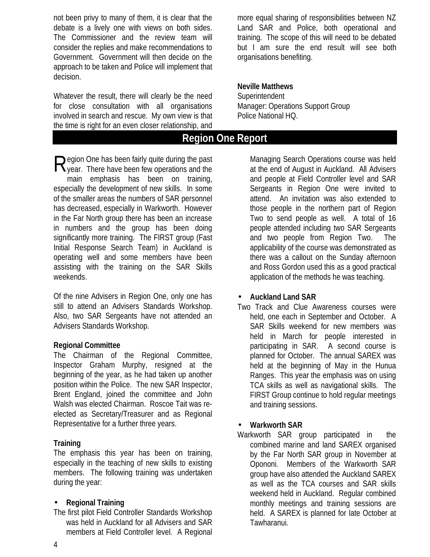not been privy to many of them, it is clear that the debate is a lively one with views on both sides. The Commissioner and the review team will consider the replies and make recommendations to Government. Government will then decide on the approach to be taken and Police will implement that decision.

Whatever the result, there will clearly be the need for close consultation with all organisations involved in search and rescue. My own view is that the time is right for an even closer relationship, and

egion One has been fairly quite during the past Region One has been fairly quite during the past<br>Ryear. There have been few operations and the main emphasis has been on training, especially the development of new skills. In some of the smaller areas the numbers of SAR personnel has decreased, especially in Warkworth. However in the Far North group there has been an increase in numbers and the group has been doing significantly more training. The FIRST group (Fast Initial Response Search Team) in Auckland is operating well and some members have been assisting with the training on the SAR Skills weekends.

Of the nine Advisers in Region One, only one has still to attend an Advisers Standards Workshop. Also, two SAR Sergeants have not attended an Advisers Standards Workshop.

#### **Regional Committee**

The Chairman of the Regional Committee, Inspector Graham Murphy, resigned at the beginning of the year, as he had taken up another position within the Police. The new SAR Inspector, Brent England, joined the committee and John Walsh was elected Chairman. Roscoe Tait was reelected as Secretary/Treasurer and as Regional Representative for a further three years.

#### **Training**

The emphasis this year has been on training, especially in the teaching of new skills to existing members. The following training was undertaken during the year:

#### • **Regional Training**

The first pilot Field Controller Standards Workshop was held in Auckland for all Advisers and SAR members at Field Controller level. A Regional more equal sharing of responsibilities between NZ Land SAR and Police, both operational and training. The scope of this will need to be debated but I am sure the end result will see both organisations benefiting.

#### **Neville Matthews Superintendent** Manager: Operations Support Group Police National HQ.

## **Region One Report**

Managing Search Operations course was held at the end of August in Auckland. All Advisers and people at Field Controller level and SAR Sergeants in Region One were invited to attend. An invitation was also extended to those people in the northern part of Region Two to send people as well. A total of 16 people attended including two SAR Sergeants and two people from Region Two. The applicability of the course was demonstrated as there was a callout on the Sunday afternoon and Ross Gordon used this as a good practical application of the methods he was teaching.

#### • **Auckland Land SAR**

Two Track and Clue Awareness courses were held, one each in September and October. A SAR Skills weekend for new members was held in March for people interested in participating in SAR. A second course is planned for October. The annual SAREX was held at the beginning of May in the Hunua Ranges. This year the emphasis was on using TCA skills as well as navigational skills. The FIRST Group continue to hold regular meetings and training sessions.

## • **Warkworth SAR**

Warkworth SAR group participated in the combined marine and land SAREX organised by the Far North SAR group in November at Opononi. Members of the Warkworth SAR group have also attended the Auckland SAREX as well as the TCA courses and SAR skills weekend held in Auckland. Regular combined monthly meetings and training sessions are held. A SAREX is planned for late October at Tawharanui.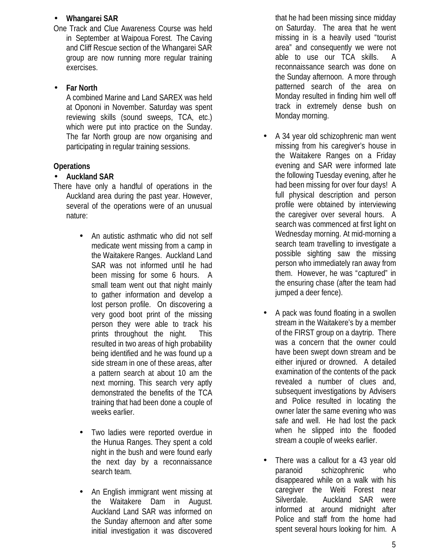### • **Whangarei SAR**

One Track and Clue Awareness Course was held in September at Waipoua Forest. The Caving and Cliff Rescue section of the Whangarei SAR group are now running more regular training exercises.

## • **Far North**

A combined Marine and Land SAREX was held at Opononi in November. Saturday was spent reviewing skills (sound sweeps, TCA, etc.) which were put into practice on the Sunday. The far North group are now organising and participating in regular training sessions.

## **Operations**

## • **Auckland SAR**

- There have only a handful of operations in the Auckland area during the past year. However, several of the operations were of an unusual nature:
	- An autistic asthmatic who did not self medicate went missing from a camp in the Waitakere Ranges. Auckland Land SAR was not informed until he had been missing for some 6 hours. A small team went out that night mainly to gather information and develop a lost person profile. On discovering a very good boot print of the missing person they were able to track his prints throughout the night. This resulted in two areas of high probability being identified and he was found up a side stream in one of these areas, after a pattern search at about 10 am the next morning. This search very aptly demonstrated the benefits of the TCA training that had been done a couple of weeks earlier.
	- Two ladies were reported overdue in the Hunua Ranges. They spent a cold night in the bush and were found early the next day by a reconnaissance search team.
	- An English immigrant went missing at the Waitakere Dam in August. Auckland Land SAR was informed on the Sunday afternoon and after some initial investigation it was discovered

that he had been missing since midday on Saturday. The area that he went missing in is a heavily used "tourist area" and consequently we were not able to use our TCA skills. A reconnaissance search was done on the Sunday afternoon. A more through patterned search of the area on Monday resulted in finding him well off track in extremely dense bush on Monday morning.

- A 34 year old schizophrenic man went missing from his caregiver's house in the Waitakere Ranges on a Friday evening and SAR were informed late the following Tuesday evening, after he had been missing for over four days! A full physical description and person profile were obtained by interviewing the caregiver over several hours. A search was commenced at first light on Wednesday morning. At mid-morning a search team travelling to investigate a possible sighting saw the missing person who immediately ran away from them. However, he was "captured" in the ensuring chase (after the team had jumped a deer fence).
- A pack was found floating in a swollen stream in the Waitakere's by a member of the FIRST group on a daytrip. There was a concern that the owner could have been swept down stream and be either injured or drowned. A detailed examination of the contents of the pack revealed a number of clues and, subsequent investigations by Advisers and Police resulted in locating the owner later the same evening who was safe and well. He had lost the pack when he slipped into the flooded stream a couple of weeks earlier.
- There was a callout for a 43 year old paranoid schizophrenic who disappeared while on a walk with his caregiver the Weiti Forest near Silverdale. Auckland SAR were informed at around midnight after Police and staff from the home had spent several hours looking for him. A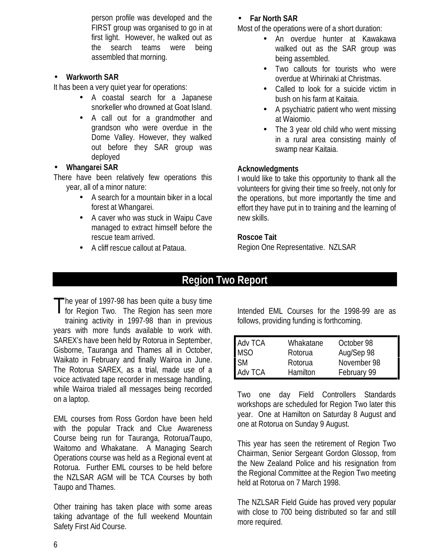person profile was developed and the FIRST group was organised to go in at first light. However, he walked out as the search teams were being assembled that morning.

### • **Warkworth SAR**

It has been a very quiet year for operations:

- A coastal search for a Japanese snorkeller who drowned at Goat Island.
- A call out for a grandmother and grandson who were overdue in the Dome Valley. However, they walked out before they SAR group was deployed

### • **Whangarei SAR**

There have been relatively few operations this year, all of a minor nature:

- A search for a mountain biker in a local forest at Whangarei.
- A caver who was stuck in Waipu Cave managed to extract himself before the rescue team arrived.
- A cliff rescue callout at Pataua.

## • **Far North SAR**

Most of the operations were of a short duration:

- An overdue hunter at Kawakawa walked out as the SAR group was being assembled.
- Two callouts for tourists who were overdue at Whirinaki at Christmas.
- Called to look for a suicide victim in bush on his farm at Kaitaia.
- A psychiatric patient who went missing at Waiomio.
- The 3 year old child who went missing in a rural area consisting mainly of swamp near Kaitaia.

## **Acknowledgments**

I would like to take this opportunity to thank all the volunteers for giving their time so freely, not only for the operations, but more importantly the time and effort they have put in to training and the learning of new skills.

### **Roscoe Tait**

Region One Representative. NZLSAR

# **Region Two Report**

The year of 1997-98 has been quite a busy time The year of 1997-98 has been quite a busy time<br>for Region Two. The Region has seen more training activity in 1997-98 than in previous years with more funds available to work with. SAREX's have been held by Rotorua in September, Gisborne, Tauranga and Thames all in October, Waikato in February and finally Wairoa in June. The Rotorua SAREX, as a trial, made use of a voice activated tape recorder in message handling, while Wairoa trialed all messages being recorded on a laptop.

EML courses from Ross Gordon have been held with the popular Track and Clue Awareness Course being run for Tauranga, Rotorua/Taupo, Waitomo and Whakatane. A Managing Search Operations course was held as a Regional event at Rotorua. Further EML courses to be held before the NZLSAR AGM will be TCA Courses by both Taupo and Thames.

Other training has taken place with some areas taking advantage of the full weekend Mountain Safety First Aid Course.

Intended EML Courses for the 1998-99 are as follows, providing funding is forthcoming.

| <b>Adv TCA</b>         | Whakatane | October 98  |
|------------------------|-----------|-------------|
| <b>MSO</b>             | Rotorua   | Aug/Sep 98  |
| $\overline{\text{SM}}$ | Rotorua   | November 98 |
| <b>Adv TCA</b>         | Hamilton  | February 99 |

Two one day Field Controllers Standards workshops are scheduled for Region Two later this year. One at Hamilton on Saturday 8 August and one at Rotorua on Sunday 9 August.

This year has seen the retirement of Region Two Chairman, Senior Sergeant Gordon Glossop, from the New Zealand Police and his resignation from the Regional Committee at the Region Two meeting held at Rotorua on 7 March 1998.

The NZLSAR Field Guide has proved very popular with close to 700 being distributed so far and still more required.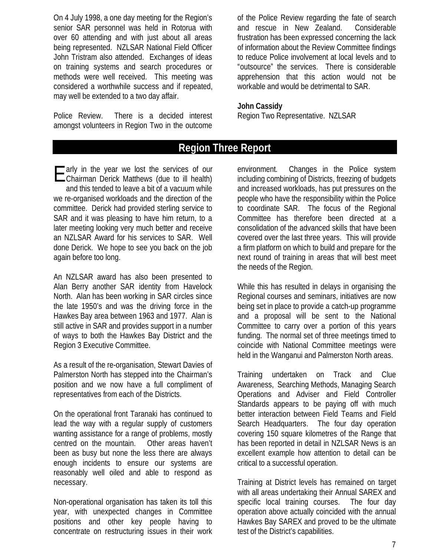On 4 July 1998, a one day meeting for the Region's senior SAR personnel was held in Rotorua with over 60 attending and with just about all areas being represented. NZLSAR National Field Officer John Tristram also attended. Exchanges of ideas on training systems and search procedures or methods were well received. This meeting was considered a worthwhile success and if repeated, may well be extended to a two day affair.

Police Review. There is a decided interest amongst volunteers in Region Two in the outcome of the Police Review regarding the fate of search and rescue in New Zealand. Considerable frustration has been expressed concerning the lack of information about the Review Committee findings to reduce Police involvement at local levels and to "outsource" the services. There is considerable apprehension that this action would not be workable and would be detrimental to SAR.

#### **John Cassidy**

Region Two Representative. NZLSAR

## **Region Three Report**

E arly in the year we lost the services of our<br>
Chairman Derick Matthews (due to ill health) Chairman Derick Matthews (due to ill health) and this tended to leave a bit of a vacuum while we re-organised workloads and the direction of the committee. Derick had provided sterling service to SAR and it was pleasing to have him return, to a later meeting looking very much better and receive an NZLSAR Award for his services to SAR. Well done Derick. We hope to see you back on the job again before too long.

An NZLSAR award has also been presented to Alan Berry another SAR identity from Havelock North. Alan has been working in SAR circles since the late 1950's and was the driving force in the Hawkes Bay area between 1963 and 1977. Alan is still active in SAR and provides support in a number of ways to both the Hawkes Bay District and the Region 3 Executive Committee.

As a result of the re-organisation, Stewart Davies of Palmerston North has stepped into the Chairman's position and we now have a full compliment of representatives from each of the Districts.

On the operational front Taranaki has continued to lead the way with a regular supply of customers wanting assistance for a range of problems, mostly centred on the mountain. Other areas haven't been as busy but none the less there are always enough incidents to ensure our systems are reasonably well oiled and able to respond as necessary.

Non-operational organisation has taken its toll this year, with unexpected changes in Committee positions and other key people having to concentrate on restructuring issues in their work

environment. Changes in the Police system including combining of Districts, freezing of budgets and increased workloads, has put pressures on the people who have the responsibility within the Police to coordinate SAR. The focus of the Regional Committee has therefore been directed at a consolidation of the advanced skills that have been covered over the last three years. This will provide a firm platform on which to build and prepare for the next round of training in areas that will best meet the needs of the Region.

While this has resulted in delays in organising the Regional courses and seminars, initiatives are now being set in place to provide a catch-up programme and a proposal will be sent to the National Committee to carry over a portion of this years funding. The normal set of three meetings timed to coincide with National Committee meetings were held in the Wanganui and Palmerston North areas.

Training undertaken on Track and Clue Awareness, Searching Methods, Managing Search Operations and Adviser and Field Controller Standards appears to be paying off with much better interaction between Field Teams and Field Search Headquarters. The four day operation covering 150 square kilometres of the Range that has been reported in detail in NZLSAR News is an excellent example how attention to detail can be critical to a successful operation.

Training at District levels has remained on target with all areas undertaking their Annual SAREX and specific local training courses. The four day operation above actually coincided with the annual Hawkes Bay SAREX and proved to be the ultimate test of the District's capabilities.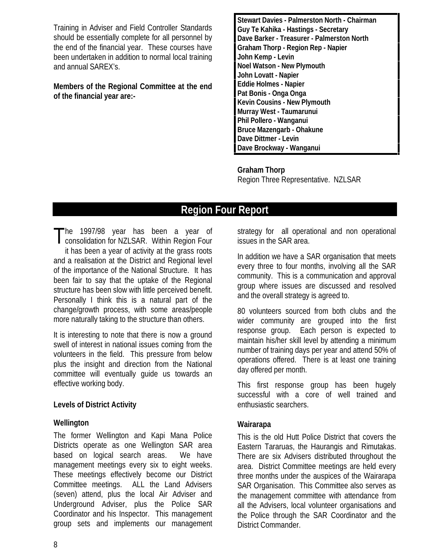Training in Adviser and Field Controller Standards should be essentially complete for all personnel by the end of the financial year. These courses have been undertaken in addition to normal local training and annual SAREX's.

**Members of the Regional Committee at the end of the financial year are:-**

**Stewart Davies - Palmerston North - Chairman Guy Te Kahika - Hastings - Secretary Dave Barker - Treasurer - Palmerston North Graham Thorp - Region Rep - Napier John Kemp - Levin Noel Watson - New Plymouth John Lovatt - Napier Eddie Holmes - Napier Pat Bonis - Onga Onga Kevin Cousins - New Plymouth Murray West - Taumarunui Phil Pollero - Wanganui Bruce Mazengarb - Ohakune Dave Dittmer - Levin Dave Brockway - Wanganui**

**Graham Thorp** Region Three Representative. NZLSAR

# **Region Four Report**

he 1997/98 year has been a year of The 1997/98 year has been a year of<br>consolidation for NZLSAR. Within Region Four it has been a year of activity at the grass roots and a realisation at the District and Regional level of the importance of the National Structure. It has been fair to say that the uptake of the Regional structure has been slow with little perceived benefit. Personally I think this is a natural part of the change/growth process, with some areas/people more naturally taking to the structure than others.

It is interesting to note that there is now a ground swell of interest in national issues coming from the volunteers in the field. This pressure from below plus the insight and direction from the National committee will eventually guide us towards an effective working body.

#### **Levels of District Activity**

## **Wellington**

The former Wellington and Kapi Mana Police Districts operate as one Wellington SAR area based on logical search areas. We have management meetings every six to eight weeks. These meetings effectively become our District Committee meetings. ALL the Land Advisers (seven) attend, plus the local Air Adviser and Underground Adviser, plus the Police SAR Coordinator and his Inspector. This management group sets and implements our management

strategy for all operational and non operational issues in the SAR area.

In addition we have a SAR organisation that meets every three to four months, involving all the SAR community. This is a communication and approval group where issues are discussed and resolved and the overall strategy is agreed to.

80 volunteers sourced from both clubs and the wider community are grouped into the first response group. Each person is expected to maintain his/her skill level by attending a minimum number of training days per year and attend 50% of operations offered. There is at least one training day offered per month.

This first response group has been hugely successful with a core of well trained and enthusiastic searchers.

## **Wairarapa**

This is the old Hutt Police District that covers the Eastern Tararuas, the Haurangis and Rimutakas. There are six Advisers distributed throughout the area. District Committee meetings are held every three months under the auspices of the Wairarapa SAR Organisation. This Committee also serves as the management committee with attendance from all the Advisers, local volunteer organisations and the Police through the SAR Coordinator and the District Commander.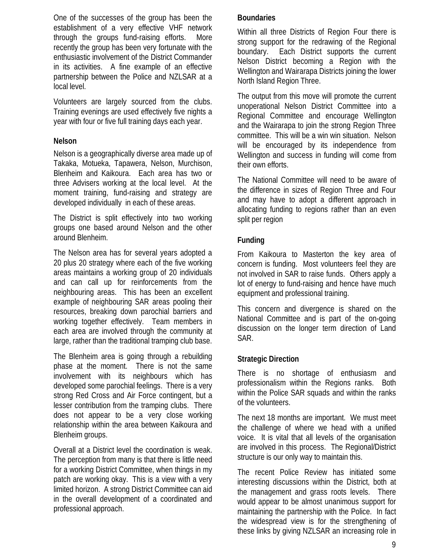One of the successes of the group has been the establishment of a very effective VHF network through the groups fund-raising efforts. More recently the group has been very fortunate with the enthusiastic involvement of the District Commander in its activities. A fine example of an effective partnership between the Police and NZLSAR at a local level.

Volunteers are largely sourced from the clubs. Training evenings are used effectively five nights a year with four or five full training days each year.

### **Nelson**

Nelson is a geographically diverse area made up of Takaka, Motueka, Tapawera, Nelson, Murchison, Blenheim and Kaikoura. Each area has two or three Advisers working at the local level. At the moment training, fund-raising and strategy are developed individually in each of these areas.

The District is split effectively into two working groups one based around Nelson and the other around Blenheim.

The Nelson area has for several years adopted a 20 plus 20 strategy where each of the five working areas maintains a working group of 20 individuals and can call up for reinforcements from the neighbouring areas. This has been an excellent example of neighbouring SAR areas pooling their resources, breaking down parochial barriers and working together effectively. Team members in each area are involved through the community at large, rather than the traditional tramping club base.

The Blenheim area is going through a rebuilding phase at the moment. There is not the same involvement with its neighbours which has developed some parochial feelings. There is a very strong Red Cross and Air Force contingent, but a lesser contribution from the tramping clubs. There does not appear to be a very close working relationship within the area between Kaikoura and Blenheim groups.

Overall at a District level the coordination is weak. The perception from many is that there is little need for a working District Committee, when things in my patch are working okay. This is a view with a very limited horizon. A strong District Committee can aid in the overall development of a coordinated and professional approach.

### **Boundaries**

Within all three Districts of Region Four there is strong support for the redrawing of the Regional boundary. Each District supports the current Nelson District becoming a Region with the Wellington and Wairarapa Districts joining the lower North Island Region Three.

The output from this move will promote the current unoperational Nelson District Committee into a Regional Committee and encourage Wellington and the Wairarapa to join the strong Region Three committee. This will be a win win situation. Nelson will be encouraged by its independence from Wellington and success in funding will come from their own efforts.

The National Committee will need to be aware of the difference in sizes of Region Three and Four and may have to adopt a different approach in allocating funding to regions rather than an even split per region

## **Funding**

From Kaikoura to Masterton the key area of concern is funding. Most volunteers feel they are not involved in SAR to raise funds. Others apply a lot of energy to fund-raising and hence have much equipment and professional training.

This concern and divergence is shared on the National Committee and is part of the on-going discussion on the longer term direction of Land SAR.

## **Strategic Direction**

There is no shortage of enthusiasm and professionalism within the Regions ranks. Both within the Police SAR squads and within the ranks of the volunteers.

The next 18 months are important. We must meet the challenge of where we head with a unified voice. It is vital that all levels of the organisation are involved in this process. The Regional/District structure is our only way to maintain this.

The recent Police Review has initiated some interesting discussions within the District, both at the management and grass roots levels. There would appear to be almost unanimous support for maintaining the partnership with the Police. In fact the widespread view is for the strengthening of these links by giving NZLSAR an increasing role in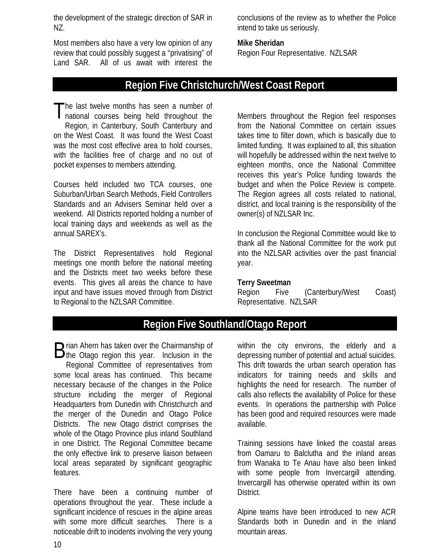the development of the strategic direction of SAR in NZ.

Most members also have a very low opinion of any review that could possibly suggest a "privatising" of Land SAR. All of us await with interest the conclusions of the review as to whether the Police intend to take us seriously.

#### **Mike Sheridan**

Region Four Representative. NZLSAR

## **Region Five Christchurch/West Coast Report**

he last twelve months has seen a number of The last twelve months has seen a number of<br>national courses being held throughout the Region, in Canterbury, South Canterbury and on the West Coast. It was found the West Coast was the most cost effective area to hold courses, with the facilities free of charge and no out of pocket expenses to members attending.

Courses held included two TCA courses, one Suburban/Urban Search Methods, Field Controllers Standards and an Advisers Seminar held over a weekend. All Districts reported holding a number of local training days and weekends as well as the annual SAREX's.

The District Representatives hold Regional meetings one month before the national meeting and the Districts meet two weeks before these events. This gives all areas the chance to have input and have issues moved through from District to Regional to the NZLSAR Committee.

Members throughout the Region feel responses from the National Committee on certain issues takes time to filter down, which is basically due to limited funding. It was explained to all, this situation will hopefully be addressed within the next twelve to eighteen months, once the National Committee receives this year's Police funding towards the budget and when the Police Review is compete. The Region agrees all costs related to national, district, and local training is the responsibility of the owner(s) of NZLSAR Inc.

In conclusion the Regional Committee would like to thank all the National Committee for the work put into the NZLSAR activities over the past financial year.

#### **Terry Sweetman**

Region Five (Canterbury/West Coast) Representative. NZLSAR

## **Region Five Southland/Otago Report**

rian Ahern has taken over the Chairmanship of Brian Ahern has taken over the Chairmanship of<br>
the Otago region this year. Inclusion in the Regional Committee of representatives from some local areas has continued. This became necessary because of the changes in the Police structure including the merger of Regional Headquarters from Dunedin with Christchurch and the merger of the Dunedin and Otago Police Districts. The new Otago district comprises the whole of the Otago Province plus inland Southland in one District. The Regional Committee became the only effective link to preserve liaison between local areas separated by significant geographic features.

There have been a continuing number of operations throughout the year. These include a significant incidence of rescues in the alpine areas with some more difficult searches. There is a noticeable drift to incidents involving the very young within the city environs, the elderly and a depressing number of potential and actual suicides. This drift towards the urban search operation has indicators for training needs and skills and highlights the need for research. The number of calls also reflects the availability of Police for these events. In operations the partnership with Police has been good and required resources were made available.

Training sessions have linked the coastal areas from Oamaru to Balclutha and the inland areas from Wanaka to Te Anau have also been linked with some people from Invercargill attending. Invercargill has otherwise operated within its own District.

Alpine teams have been introduced to new ACR Standards both in Dunedin and in the inland mountain areas.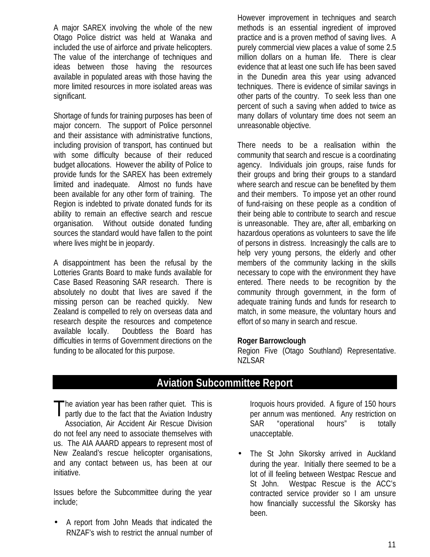A major SAREX involving the whole of the new Otago Police district was held at Wanaka and included the use of airforce and private helicopters. The value of the interchange of techniques and ideas between those having the resources available in populated areas with those having the more limited resources in more isolated areas was significant.

Shortage of funds for training purposes has been of major concern. The support of Police personnel and their assistance with administrative functions, including provision of transport, has continued but with some difficulty because of their reduced budget allocations. However the ability of Police to provide funds for the SAREX has been extremely limited and inadequate. Almost no funds have been available for any other form of training. The Region is indebted to private donated funds for its ability to remain an effective search and rescue organisation. Without outside donated funding sources the standard would have fallen to the point where lives might be in jeopardy.

A disappointment has been the refusal by the Lotteries Grants Board to make funds available for Case Based Reasoning SAR research. There is absolutely no doubt that lives are saved if the missing person can be reached quickly. New Zealand is compelled to rely on overseas data and research despite the resources and competence available locally. Doubtless the Board has difficulties in terms of Government directions on the funding to be allocated for this purpose.

However improvement in techniques and search methods is an essential ingredient of improved practice and is a proven method of saving lives. A purely commercial view places a value of some 2.5 million dollars on a human life. There is clear evidence that at least one such life has been saved in the Dunedin area this year using advanced techniques. There is evidence of similar savings in other parts of the country. To seek less than one percent of such a saving when added to twice as many dollars of voluntary time does not seem an unreasonable objective.

There needs to be a realisation within the community that search and rescue is a coordinating agency. Individuals join groups, raise funds for their groups and bring their groups to a standard where search and rescue can be benefited by them and their members. To impose yet an other round of fund-raising on these people as a condition of their being able to contribute to search and rescue is unreasonable. They are, after all, embarking on hazardous operations as volunteers to save the life of persons in distress. Increasingly the calls are to help very young persons, the elderly and other members of the community lacking in the skills necessary to cope with the environment they have entered. There needs to be recognition by the community through government, in the form of adequate training funds and funds for research to match, in some measure, the voluntary hours and effort of so many in search and rescue.

#### **Roger Barrowclough**

Region Five (Otago Southland) Representative. NZLSAR

# **Aviation Subcommittee Report**

The aviation year has been rather quiet. This is<br>partly due to the fact that the Aviation Industry partly due to the fact that the Aviation Industry Association, Air Accident Air Rescue Division do not feel any need to associate themselves with us. The AIA AAARD appears to represent most of New Zealand's rescue helicopter organisations, and any contact between us, has been at our initiative.

Issues before the Subcommittee during the year include;

• A report from John Meads that indicated the RNZAF's wish to restrict the annual number of

Iroquois hours provided. A figure of 150 hours per annum was mentioned. Any restriction on SAR "operational hours" is totally unacceptable.

• The St John Sikorsky arrived in Auckland during the year. Initially there seemed to be a lot of ill feeling between Westpac Rescue and St John. Westpac Rescue is the ACC's contracted service provider so I am unsure how financially successful the Sikorsky has been.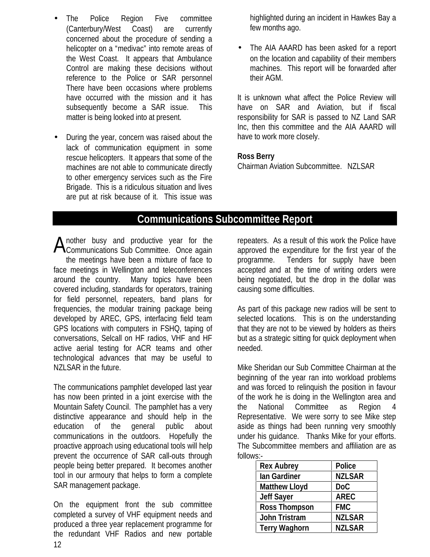- The Police Region Five committee (Canterbury/West Coast) are currently concerned about the procedure of sending a helicopter on a "medivac" into remote areas of the West Coast. It appears that Ambulance Control are making these decisions without reference to the Police or SAR personnel There have been occasions where problems have occurred with the mission and it has subsequently become a SAR issue. This matter is being looked into at present.
- During the year, concern was raised about the lack of communication equipment in some rescue helicopters. It appears that some of the machines are not able to communicate directly to other emergency services such as the Fire Brigade. This is a ridiculous situation and lives are put at risk because of it. This issue was

highlighted during an incident in Hawkes Bay a few months ago.

• The AIA AAARD has been asked for a report on the location and capability of their members machines. This report will be forwarded after their AGM.

It is unknown what affect the Police Review will have on SAR and Aviation, but if fiscal responsibility for SAR is passed to NZ Land SAR Inc, then this committee and the AIA AAARD will have to work more closely.

#### **Ross Berry**

Chairman Aviation Subcommittee. NZLSAR

## **Communications Subcommittee Report**

nother busy and productive year for the Another busy and productive year for the<br>Communications Sub Committee. Once again the meetings have been a mixture of face to face meetings in Wellington and teleconferences around the country. Many topics have been covered including, standards for operators, training for field personnel, repeaters, band plans for frequencies, the modular training package being developed by AREC, GPS, interfacing field team GPS locations with computers in FSHQ, taping of conversations, Selcall on HF radios, VHF and HF active aerial testing for ACR teams and other technological advances that may be useful to NZLSAR in the future.

The communications pamphlet developed last year has now been printed in a joint exercise with the Mountain Safety Council. The pamphlet has a very distinctive appearance and should help in the education of the general public about communications in the outdoors. Hopefully the proactive approach using educational tools will help prevent the occurrence of SAR call-outs through people being better prepared. It becomes another tool in our armoury that helps to form a complete SAR management package.

On the equipment front the sub committee completed a survey of VHF equipment needs and produced a three year replacement programme for the redundant VHF Radios and new portable repeaters. As a result of this work the Police have approved the expenditure for the first year of the programme. Tenders for supply have been accepted and at the time of writing orders were being negotiated, but the drop in the dollar was causing some difficulties.

As part of this package new radios will be sent to selected locations. This is on the understanding that they are not to be viewed by holders as theirs but as a strategic sitting for quick deployment when needed.

Mike Sheridan our Sub Committee Chairman at the beginning of the year ran into workload problems and was forced to relinquish the position in favour of the work he is doing in the Wellington area and the National Committee as Region 4 Representative. We were sorry to see Mike step aside as things had been running very smoothly under his guidance. Thanks Mike for your efforts. The Subcommittee members and affiliation are as follows:-

| <b>Rex Aubrey</b>    | <b>Police</b> |
|----------------------|---------------|
| lan Gardiner         | <b>NZLSAR</b> |
| <b>Matthew Lloyd</b> | DoC           |
| <b>Jeff Sayer</b>    | <b>AREC</b>   |
| <b>Ross Thompson</b> | <b>FMC</b>    |
| <b>John Tristram</b> | <b>NZLSAR</b> |
| <b>Terry Waghorn</b> | <b>NZLSAR</b> |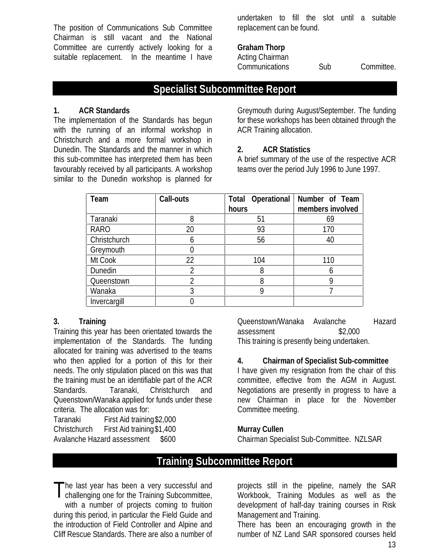The position of Communications Sub Committee Chairman is still vacant and the National Committee are currently actively looking for a suitable replacement. In the meantime I have undertaken to fill the slot until a suitable replacement can be found.

#### **Graham Thorp**

Acting Chairman Communications Sub Committee.

# **Specialist Subcommittee Report**

#### **1. ACR Standards**

The implementation of the Standards has begun with the running of an informal workshop in Christchurch and a more formal workshop in Dunedin. The Standards and the manner in which this sub-committee has interpreted them has been favourably received by all participants. A workshop similar to the Dunedin workshop is planned for

Greymouth during August/September. The funding for these workshops has been obtained through the ACR Training allocation.

### **2. ACR Statistics**

A brief summary of the use of the respective ACR teams over the period July 1996 to June 1997.

| Team         | <b>Call-outs</b> | <b>Total Operational</b><br>hours | Number of Team<br>members involved |
|--------------|------------------|-----------------------------------|------------------------------------|
| Taranaki     | 8                | 51                                | 69                                 |
| <b>RARO</b>  | 20               | 93                                | 170                                |
| Christchurch | 6                | 56                                | 40                                 |
| Greymouth    |                  |                                   |                                    |
| Mt Cook      | 22               | 104                               | 110                                |
| Dunedin      | 2                | 8                                 | h                                  |
| Queenstown   |                  |                                   | Q                                  |
| Wanaka       | 3                |                                   |                                    |
| Invercargill |                  |                                   |                                    |

#### **3. Training**

Training this year has been orientated towards the implementation of the Standards. The funding allocated for training was advertised to the teams who then applied for a portion of this for their needs. The only stipulation placed on this was that the training must be an identifiable part of the ACR Standards. Taranaki, Christchurch and Queenstown/Wanaka applied for funds under these criteria. The allocation was for:

Taranaki First Aid training\$2,000 Christchurch First Aid training\$1,400 Avalanche Hazard assessment \$600

Queenstown/Wanaka Avalanche Hazard assessment \$2,000 This training is presently being undertaken.

## **4. Chairman of Specialist Sub-committee**

I have given my resignation from the chair of this committee, effective from the AGM in August. Negotiations are presently in progress to have a new Chairman in place for the November Committee meeting.

#### **Murray Cullen**

Chairman Specialist Sub-Committee. NZLSAR

# **Training Subcommittee Report**

he last year has been a very successful and The last year has been a very successful and<br>challenging one for the Training Subcommittee, with a number of projects coming to fruition during this period, in particular the Field Guide and the introduction of Field Controller and Alpine and Cliff Rescue Standards. There are also a number of

projects still in the pipeline, namely the SAR Workbook, Training Modules as well as the development of half-day training courses in Risk Management and Training.

There has been an encouraging growth in the number of NZ Land SAR sponsored courses held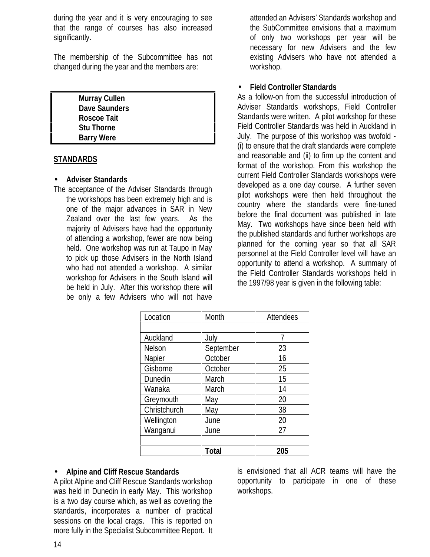during the year and it is very encouraging to see that the range of courses has also increased significantly.

The membership of the Subcommittee has not changed during the year and the members are:

**Murray Cullen Dave Saunders Roscoe Tait Stu Thorne Barry Were**

#### **STANDARDS**

#### • **Adviser Standards**

The acceptance of the Adviser Standards through the workshops has been extremely high and is one of the major advances in SAR in New Zealand over the last few years. As the majority of Advisers have had the opportunity of attending a workshop, fewer are now being held. One workshop was run at Taupo in May to pick up those Advisers in the North Island who had not attended a workshop. A similar workshop for Advisers in the South Island will be held in July. After this workshop there will be only a few Advisers who will not have

attended an Advisers' Standards workshop and the SubCommittee envisions that a maximum of only two workshops per year will be necessary for new Advisers and the few existing Advisers who have not attended a workshop.

#### • **Field Controller Standards**

As a follow-on from the successful introduction of Adviser Standards workshops, Field Controller Standards were written. A pilot workshop for these Field Controller Standards was held in Auckland in July. The purpose of this workshop was twofold - (i) to ensure that the draft standards were complete and reasonable and (ii) to firm up the content and format of the workshop. From this workshop the current Field Controller Standards workshops were developed as a one day course. A further seven pilot workshops were then held throughout the country where the standards were fine-tuned before the final document was published in late May. Two workshops have since been held with the published standards and further workshops are planned for the coming year so that all SAR personnel at the Field Controller level will have an opportunity to attend a workshop. A summary of the Field Controller Standards workshops held in the 1997/98 year is given in the following table:

| Location      | Month        | Attendees |
|---------------|--------------|-----------|
|               |              |           |
| Auckland      | July         | 7         |
| <b>Nelson</b> | September    | 23        |
| Napier        | October      | 16        |
| Gisborne      | October      | 25        |
| Dunedin       | March        | 15        |
| Wanaka        | March        | 14        |
| Greymouth     | May          | 20        |
| Christchurch  | May          | 38        |
| Wellington    | June         | 20        |
| Wanganui      | June         | 27        |
|               |              |           |
|               | <b>Total</b> | 205       |

#### • **Alpine and Cliff Rescue Standards**

A pilot Alpine and Cliff Rescue Standards workshop was held in Dunedin in early May. This workshop is a two day course which, as well as covering the standards, incorporates a number of practical sessions on the local crags. This is reported on more fully in the Specialist Subcommittee Report. It

is envisioned that all ACR teams will have the opportunity to participate in one of these workshops.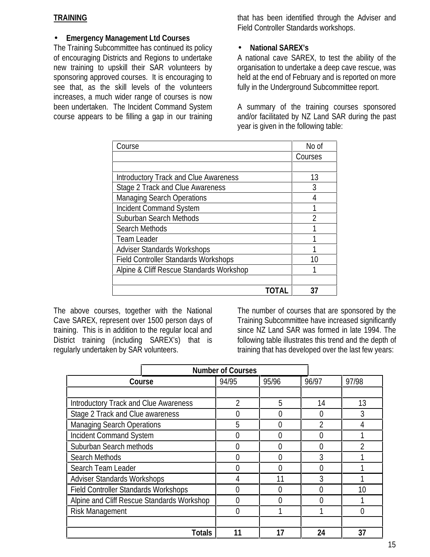#### **TRAINING**

### • **Emergency Management Ltd Courses**

The Training Subcommittee has continued its policy of encouraging Districts and Regions to undertake new training to upskill their SAR volunteers by sponsoring approved courses. It is encouraging to see that, as the skill levels of the volunteers increases, a much wider range of courses is now been undertaken. The Incident Command System course appears to be filling a gap in our training that has been identified through the Adviser and Field Controller Standards workshops.

### • **National SAREX's**

A national cave SAREX, to test the ability of the organisation to undertake a deep cave rescue, was held at the end of February and is reported on more fully in the Underground Subcommittee report.

A summary of the training courses sponsored and/or facilitated by NZ Land SAR during the past year is given in the following table:

| Course                                       | No of   |
|----------------------------------------------|---------|
|                                              | Courses |
|                                              |         |
| <b>Introductory Track and Clue Awareness</b> | 13      |
| <b>Stage 2 Track and Clue Awareness</b>      | 3       |
| <b>Managing Search Operations</b>            |         |
| <b>Incident Command System</b>               |         |
| <b>Suburban Search Methods</b>               | 2       |
| <b>Search Methods</b>                        |         |
| <b>Team Leader</b>                           |         |
| <b>Adviser Standards Workshops</b>           |         |
| <b>Field Controller Standards Workshops</b>  | 10      |
| Alpine & Cliff Rescue Standards Workshop     |         |
|                                              |         |
|                                              |         |

The above courses, together with the National Cave SAREX, represent over 1500 person days of training. This is in addition to the regular local and District training (including SAREX's) that is regularly undertaken by SAR volunteers.

The number of courses that are sponsored by the Training Subcommittee have increased significantly since NZ Land SAR was formed in late 1994. The following table illustrates this trend and the depth of training that has developed over the last few years:

| <b>Number of Courses</b>                     |       |       |                          |       |
|----------------------------------------------|-------|-------|--------------------------|-------|
| Course                                       | 94/95 | 95/96 | 96/97                    | 97/98 |
|                                              |       |       |                          |       |
| <b>Introductory Track and Clue Awareness</b> | າ     | 5     | 14                       | 13    |
| Stage 2 Track and Clue awareness             |       |       | $\Box$                   |       |
| <b>Managing Search Operations</b>            | 5     |       | $\overline{\mathcal{C}}$ |       |
| <b>Incident Command System</b>               | N     |       | 0                        |       |
| Suburban Search methods                      | N     |       | 0                        |       |
| Search Methods                               |       |       | 3                        |       |
| Search Team Leader                           | O     |       | 0                        |       |
| <b>Adviser Standards Workshops</b>           |       | 11    | 3                        |       |
| <b>Field Controller Standards Workshops</b>  | ი     |       | N                        | 10    |
| Alpine and Cliff Rescue Standards Workshop   | U     |       | U                        |       |
| <b>Risk Management</b>                       | 0     |       |                          |       |
|                                              |       |       |                          |       |
| <b>Totals</b>                                | 11    |       | 24                       | 37    |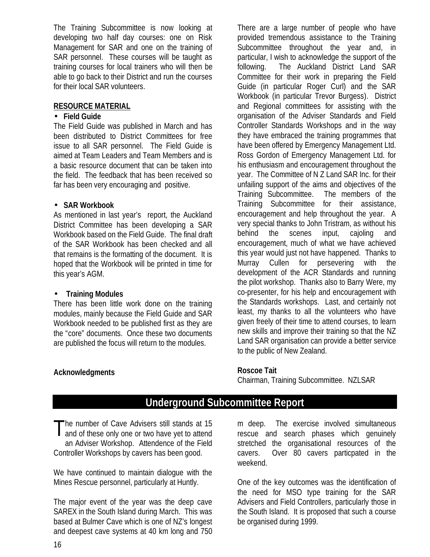The Training Subcommittee is now looking at developing two half day courses: one on Risk Management for SAR and one on the training of SAR personnel. These courses will be taught as training courses for local trainers who will then be able to go back to their District and run the courses for their local SAR volunteers.

#### **RESOURCE MATERIAL**

#### • **Field Guide**

The Field Guide was published in March and has been distributed to District Committees for free issue to all SAR personnel. The Field Guide is aimed at Team Leaders and Team Members and is a basic resource document that can be taken into the field. The feedback that has been received so far has been very encouraging and positive.

#### • **SAR Workbook**

As mentioned in last year's report, the Auckland District Committee has been developing a SAR Workbook based on the Field Guide. The final draft of the SAR Workbook has been checked and all that remains is the formatting of the document. It is hoped that the Workbook will be printed in time for this year's AGM.

#### • **Training Modules**

There has been little work done on the training modules, mainly because the Field Guide and SAR Workbook needed to be published first as they are the "core" documents. Once these two documents are published the focus will return to the modules.

There are a large number of people who have provided tremendous assistance to the Training Subcommittee throughout the year and, in particular, I wish to acknowledge the support of the following. The Auckland District Land SAR Committee for their work in preparing the Field Guide (in particular Roger Curl) and the SAR Workbook (in particular Trevor Burgess). District and Regional committees for assisting with the organisation of the Adviser Standards and Field Controller Standards Workshops and in the way they have embraced the training programmes that have been offered by Emergency Management Ltd. Ross Gordon of Emergency Management Ltd. for his enthusiasm and encouragement throughout the year. The Committee of N Z Land SAR Inc. for their unfailing support of the aims and objectives of the Training Subcommittee. The members of the Training Subcommittee for their assistance, encouragement and help throughout the year. A very special thanks to John Tristram, as without his behind the scenes input, cajoling and encouragement, much of what we have achieved this year would just not have happened. Thanks to Murray Cullen for persevering with the development of the ACR Standards and running the pilot workshop. Thanks also to Barry Were, my co-presenter, for his help and encouragement with the Standards workshops. Last, and certainly not least, my thanks to all the volunteers who have given freely of their time to attend courses, to learn new skills and improve their training so that the NZ Land SAR organisation can provide a better service to the public of New Zealand.

#### **Roscoe Tait**

Chairman, Training Subcommittee. NZLSAR

# **Underground Subcommittee Report**

he number of Cave Advisers still stands at 15 The number of Cave Advisers still stands at 15<br>and of these only one or two have yet to attend an Adviser Workshop. Attendence of the Field Controller Workshops by cavers has been good.

We have continued to maintain dialogue with the Mines Rescue personnel, particularly at Huntly.

The major event of the year was the deep cave SAREX in the South Island during March. This was based at Bulmer Cave which is one of NZ's longest and deepest cave systems at 40 km long and 750

m deep. The exercise involved simultaneous rescue and search phases which genuinely stretched the organisational resources of the cavers. Over 80 cavers particpated in the weekend.

One of the key outcomes was the identification of the need for MSO type training for the SAR Advisers and Field Controllers, particularly those in the South Island. It is proposed that such a course be organised during 1999.

**Acknowledgments**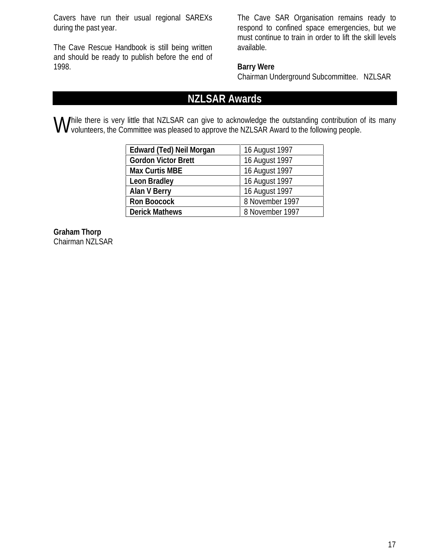Cavers have run their usual regional SAREXs during the past year.

The Cave Rescue Handbook is still being written and should be ready to publish before the end of 1998.

The Cave SAR Organisation remains ready to respond to confined space emergencies, but we must continue to train in order to lift the skill levels available.

## **Barry Were**

Chairman Underground Subcommittee. NZLSAR

# **NZLSAR Awards**

hile there is very little that NZLSAR can give to acknowledge the outstanding contribution of its many **W** hile there is very little that NZLSAR can give to acknowledge the outstanding contribution or volunteers, the Committee was pleased to approve the NZLSAR Award to the following people.

| <b>Edward (Ted) Neil Morgan</b> | 16 August 1997  |
|---------------------------------|-----------------|
| <b>Gordon Victor Brett</b>      | 16 August 1997  |
| <b>Max Curtis MBE</b>           | 16 August 1997  |
| <b>Leon Bradley</b>             | 16 August 1997  |
| <b>Alan V Berry</b>             | 16 August 1997  |
| <b>Ron Boocock</b>              | 8 November 1997 |
| <b>Derick Mathews</b>           | 8 November 1997 |

**Graham Thorp** Chairman NZLSAR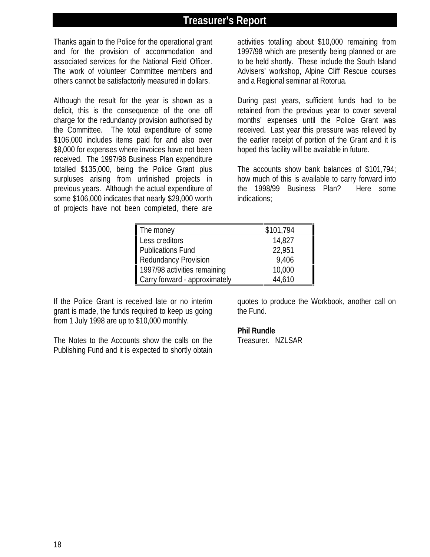## **Treasurer's Report**

Thanks again to the Police for the operational grant and for the provision of accommodation and associated services for the National Field Officer. The work of volunteer Committee members and others cannot be satisfactorily measured in dollars.

Although the result for the year is shown as a deficit, this is the consequence of the one off charge for the redundancy provision authorised by the Committee. The total expenditure of some \$106,000 includes items paid for and also over \$8,000 for expenses where invoices have not been received. The 1997/98 Business Plan expenditure totalled \$135,000, being the Police Grant plus surpluses arising from unfinished projects in previous years. Although the actual expenditure of some \$106,000 indicates that nearly \$29,000 worth of projects have not been completed, there are

activities totalling about \$10,000 remaining from 1997/98 which are presently being planned or are to be held shortly. These include the South Island Advisers' workshop, Alpine Cliff Rescue courses and a Regional seminar at Rotorua.

During past years, sufficient funds had to be retained from the previous year to cover several months' expenses until the Police Grant was received. Last year this pressure was relieved by the earlier receipt of portion of the Grant and it is hoped this facility will be available in future.

The accounts show bank balances of \$101,794; how much of this is available to carry forward into the 1998/99 Business Plan? Here some indications;

| The money                     | \$101,794 |
|-------------------------------|-----------|
| Less creditors                | 14,827    |
| <b>Publications Fund</b>      | 22,951    |
| <b>Redundancy Provision</b>   | 9,406     |
| 1997/98 activities remaining  | 10,000    |
| Carry forward - approximately | 44,610    |

If the Police Grant is received late or no interim grant is made, the funds required to keep us going from 1 July 1998 are up to \$10,000 monthly.

The Notes to the Accounts show the calls on the Publishing Fund and it is expected to shortly obtain quotes to produce the Workbook, another call on the Fund.

#### **Phil Rundle**

Treasurer. NZLSAR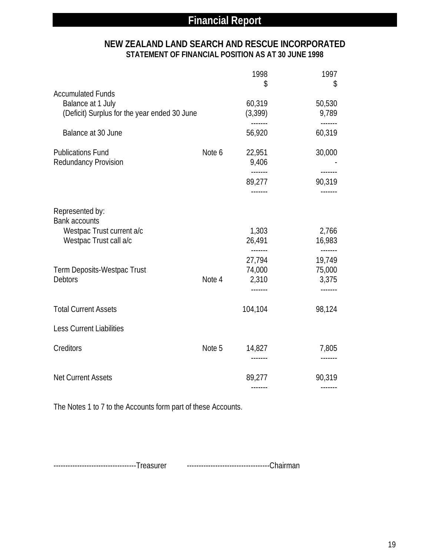## **NEW ZEALAND LAND SEARCH AND RESCUE INCORPORATED STATEMENT OF FINANCIAL POSITION AS AT 30 JUNE 1998**

|                                                         |        | 1998<br>\$                         | 1997<br>\$                                   |
|---------------------------------------------------------|--------|------------------------------------|----------------------------------------------|
| <b>Accumulated Funds</b><br>Balance at 1 July           |        | 60,319                             | 50,530                                       |
| (Deficit) Surplus for the year ended 30 June            |        | (3, 399)                           | 9,789<br>-------                             |
| Balance at 30 June                                      |        | 56,920                             | 60,319                                       |
| <b>Publications Fund</b><br><b>Redundancy Provision</b> | Note 6 | 22,951<br>9,406                    | 30,000<br>$- - - - - - -$                    |
|                                                         |        | 89,277                             | 90,319                                       |
| Represented by:<br><b>Bank accounts</b>                 |        |                                    |                                              |
| Westpac Trust current a/c<br>Westpac Trust call a/c     |        | 1,303<br>26,491<br>$- - - - - - -$ | 2,766<br>16,983                              |
| <b>Term Deposits-Westpac Trust</b><br><b>Debtors</b>    | Note 4 | 27,794<br>74,000<br>2,310          | $- - - - - - -$<br>19,749<br>75,000<br>3,375 |
| <b>Total Current Assets</b>                             |        | 104,104                            | -------<br>98,124                            |
| Less Current Liabilities                                |        |                                    |                                              |
| Creditors                                               | Note 5 | 14,827                             | 7,805                                        |
|                                                         |        | -------                            | -------                                      |
| <b>Net Current Assets</b>                               |        | 89,277                             | 90,319                                       |

The Notes 1 to 7 to the Accounts form part of these Accounts.

-----------------------------------Treasurer -----------------------------------Chairman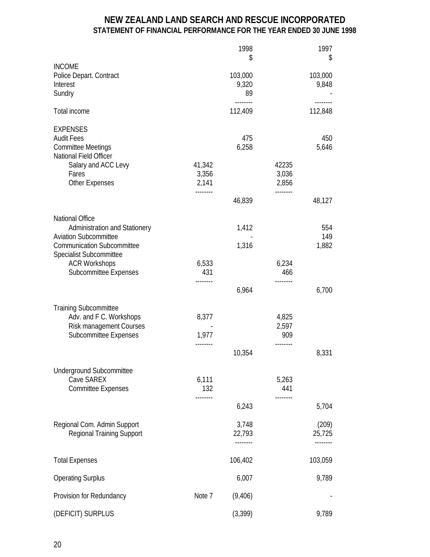## **NEW ZEALAND LAND SEARCH AND RESCUE INCORPORATED STATEMENT OF FINANCIAL PERFORMANCE FOR THE YEAR ENDED 30 JUNE 1998**

|                                                                                                                                                      |                                      | 1998<br>\$                  |                                     | 1997<br>\$                  |
|------------------------------------------------------------------------------------------------------------------------------------------------------|--------------------------------------|-----------------------------|-------------------------------------|-----------------------------|
| <b>INCOME</b><br>Police Depart. Contract<br>Interest<br>Sundry                                                                                       |                                      | 103,000<br>9,320<br>89      |                                     | 103,000<br>9,848            |
| <b>Total income</b>                                                                                                                                  |                                      | --------<br>112,409         |                                     | --------<br>112,848         |
| <b>EXPENSES</b><br><b>Audit Fees</b><br><b>Committee Meetings</b><br>National Field Officer<br>Salary and ACC Levy<br>Fares<br><b>Other Expenses</b> | 41,342<br>3,356<br>2,141<br>-------- | 475<br>6,258                | 42235<br>3,036<br>2,856<br>-------- | 450<br>5,646                |
|                                                                                                                                                      |                                      | 46,839                      |                                     | 48,127                      |
| <b>National Office</b><br><b>Administration and Stationery</b><br><b>Aviation Subcommittee</b><br><b>Communication Subcommittee</b>                  |                                      | 1,412<br>1,316              |                                     | 554<br>149<br>1,882         |
| <b>Specialist Subcommittee</b><br><b>ACR Workshops</b><br><b>Subcommittee Expenses</b>                                                               | 6,533<br>431                         |                             | 6,234<br>466                        |                             |
|                                                                                                                                                      | --------                             | 6,964                       |                                     | 6,700                       |
| <b>Training Subcommittee</b><br>Adv. and F C. Workshops<br><b>Risk management Courses</b><br><b>Subcommittee Expenses</b>                            | 8,377<br>1,977<br>--------           |                             | 4,825<br>2,597<br>909<br>--------   |                             |
|                                                                                                                                                      |                                      | 10,354                      |                                     | 8,331                       |
| <b>Underground Subcommittee</b><br><b>Cave SAREX</b><br><b>Committee Expenses</b>                                                                    | 6,111<br>132<br>------               |                             | 5,263<br>441<br>-------             |                             |
|                                                                                                                                                      |                                      | 6,243                       |                                     | 5,704                       |
| Regional Com. Admin Support<br><b>Regional Training Support</b>                                                                                      |                                      | 3,748<br>22,793<br>-------- |                                     | (209)<br>25,725<br>-------- |
| <b>Total Expenses</b>                                                                                                                                |                                      | 106,402                     |                                     | 103,059                     |
| <b>Operating Surplus</b>                                                                                                                             |                                      | 6,007                       |                                     | 9,789                       |
| Provision for Redundancy                                                                                                                             | Note 7                               | (9,406)                     |                                     |                             |
| (DEFICIT) SURPLUS                                                                                                                                    |                                      | (3, 399)                    |                                     | 9,789                       |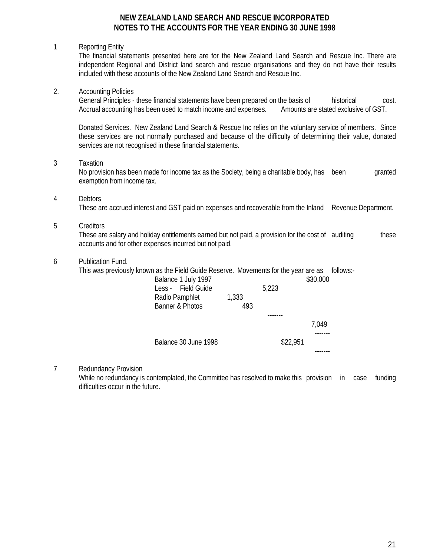#### **NEW ZEALAND LAND SEARCH AND RESCUE INCORPORATED NOTES TO THE ACCOUNTS FOR THE YEAR ENDING 30 JUNE 1998**

#### 1 Reporting Entity

The financial statements presented here are for the New Zealand Land Search and Rescue Inc. There are independent Regional and District land search and rescue organisations and they do not have their results included with these accounts of the New Zealand Land Search and Rescue Inc.

#### 2. Accounting Policies

General Principles - these financial statements have been prepared on the basis of historical cost. Accrual accounting has been used to match income and expenses. Amounts are stated exclusive of GST.

Donated Services. New Zealand Land Search & Rescue Inc relies on the voluntary service of members. Since these services are not normally purchased and because of the difficulty of determining their value, donated services are not recognised in these financial statements.

#### 3 Taxation

No provision has been made for income tax as the Society, being a charitable body, has been granted exemption from income tax.

#### 4 Debtors

These are accrued interest and GST paid on expenses and recoverable from the Inland Revenue Department.

#### 5 Creditors

These are salary and holiday entitlements earned but not paid, a provision for the cost of auditing these accounts and for other expenses incurred but not paid.

#### 6 Publication Fund.

This was previously known as the Field Guide Reserve. Movements for the year are as follows:-

| Balance 1 July 1997<br>Less - Field Guide |       | 5,223    | \$30,000 |
|-------------------------------------------|-------|----------|----------|
| Radio Pamphlet                            | 1,333 |          |          |
| Banner & Photos                           | 493   |          |          |
|                                           |       |          |          |
|                                           |       |          | 7.049    |
|                                           |       |          |          |
| Balance 30 June 1998                      |       | \$22,951 |          |
|                                           |       |          |          |

#### 7 Redundancy Provision

While no redundancy is contemplated, the Committee has resolved to make this provision in case funding difficulties occur in the future.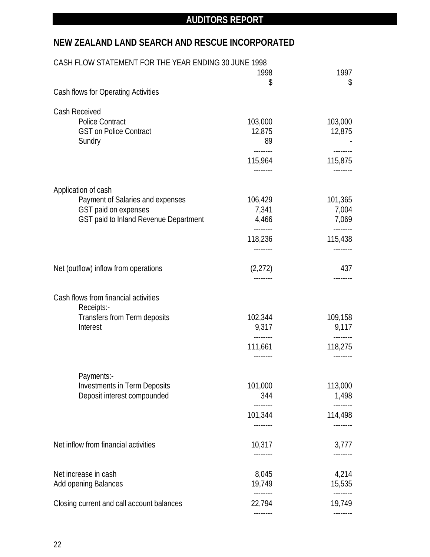## **NEW ZEALAND LAND SEARCH AND RESCUE INCORPORATED**

| CASH FLOW STATEMENT FOR THE YEAR ENDING 30 JUNE 1998 |                     |                     |
|------------------------------------------------------|---------------------|---------------------|
|                                                      | 1998                | 1997                |
| Cash flows for Operating Activities                  | \$                  | \$                  |
|                                                      |                     |                     |
| <b>Cash Received</b>                                 |                     |                     |
| <b>Police Contract</b>                               | 103,000             | 103,000             |
| <b>GST on Police Contract</b>                        | 12,875              | 12,875              |
| Sundry                                               | 89                  |                     |
|                                                      | --------<br>115,964 | --------<br>115,875 |
|                                                      |                     |                     |
| Application of cash                                  |                     |                     |
| Payment of Salaries and expenses                     | 106,429             | 101,365             |
| GST paid on expenses                                 | 7,341               | 7,004               |
| GST paid to Inland Revenue Department                | 4,466               | 7,069               |
|                                                      | 118,236             | 115,438             |
|                                                      | --------            |                     |
| Net (outflow) inflow from operations                 | (2,272)             | 437                 |
|                                                      |                     |                     |
| Cash flows from financial activities                 |                     |                     |
| Receipts:-                                           |                     |                     |
| <b>Transfers from Term deposits</b>                  | 102,344             | 109,158             |
| Interest                                             | 9,317               | 9,117               |
|                                                      | --------<br>111,661 | --------<br>118,275 |
|                                                      |                     |                     |
| Payments:-                                           |                     |                     |
| <b>Investments in Term Deposits</b>                  | 101,000             | 113,000             |
| Deposit interest compounded                          | 344                 | 1,498               |
|                                                      | 101,344             | 114,498             |
|                                                      | --------            |                     |
| Net inflow from financial activities                 | 10,317              | 3,777               |
|                                                      |                     |                     |
| Net increase in cash                                 | 8,045               | 4,214               |
| <b>Add opening Balances</b>                          | 19,749              | 15,535              |
| Closing current and call account balances            | --------<br>22,794  | 19,749              |
|                                                      |                     |                     |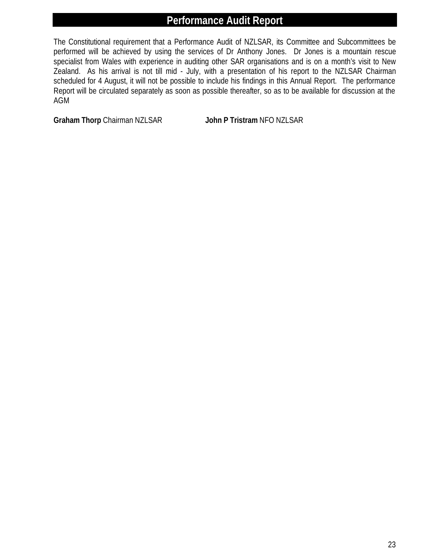# **Performance Audit Report**

The Constitutional requirement that a Performance Audit of NZLSAR, its Committee and Subcommittees be performed will be achieved by using the services of Dr Anthony Jones. Dr Jones is a mountain rescue specialist from Wales with experience in auditing other SAR organisations and is on a month's visit to New Zealand. As his arrival is not till mid - July, with a presentation of his report to the NZLSAR Chairman scheduled for 4 August, it will not be possible to include his findings in this Annual Report. The performance Report will be circulated separately as soon as possible thereafter, so as to be available for discussion at the AGM

**Graham Thorp** Chairman NZLSAR **John P Tristram** NFO NZLSAR